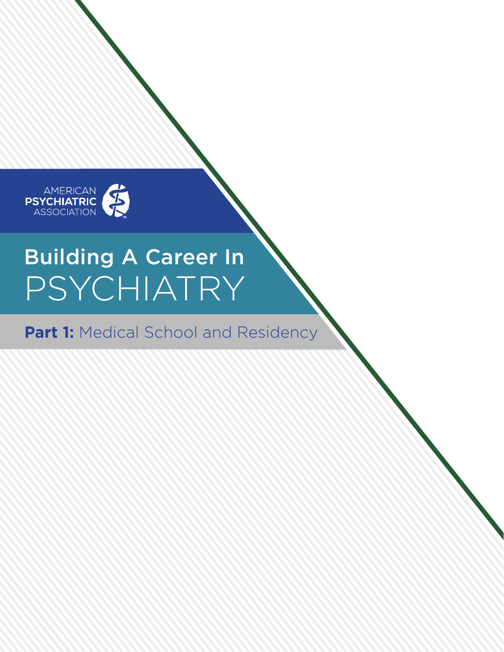

# Building A Career In PSYCHIATRY

**Part 1: Medical School and Residency**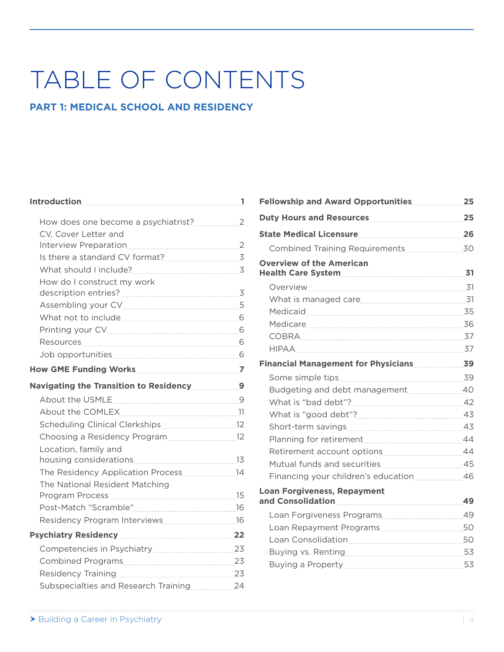## TABLE OF CONTENTS

### **PART 1: MEDICAL SCHOOL AND RESIDENCY**

| <u> Introduction 1</u>                           |  |
|--------------------------------------------------|--|
|                                                  |  |
| CV, Cover Letter and                             |  |
|                                                  |  |
| Is there a standard CV format?                   |  |
| What should I include? 3                         |  |
| How do I construct my work                       |  |
|                                                  |  |
|                                                  |  |
| What not to include 6                            |  |
|                                                  |  |
|                                                  |  |
| Job opportunities 6                              |  |
|                                                  |  |
| Navigating the Transition to Residency 2012 1994 |  |
|                                                  |  |
| About the COMLEX                                 |  |
|                                                  |  |
| Choosing a Residency Program                     |  |
| Location, family and                             |  |
|                                                  |  |
| The Residency Application Process 14             |  |
| The National Resident Matching                   |  |
|                                                  |  |
|                                                  |  |
|                                                  |  |
| Psychiatry Residency 22                          |  |
|                                                  |  |
|                                                  |  |
| Residency Training 23                            |  |
| Subspecialties and Research Training 24          |  |

| Fellowship and Award Opportunities 25                                |  |
|----------------------------------------------------------------------|--|
| Duty Hours and Resources 25                                          |  |
| State Medical Licensure 26                                           |  |
|                                                                      |  |
| <b>Overview of the American</b>                                      |  |
|                                                                      |  |
|                                                                      |  |
| Medicaid 35                                                          |  |
| Medicare 36                                                          |  |
|                                                                      |  |
|                                                                      |  |
| Financial Management for Physicians 39                               |  |
| Some simple tips 39                                                  |  |
| Budgeting and debt management 40                                     |  |
|                                                                      |  |
| What is "good debt"? 43                                              |  |
|                                                                      |  |
|                                                                      |  |
| Retirement account options 44                                        |  |
| Mutual funds and securities [11] Mutual funds and securities [11] 15 |  |
| Financing your children's education 46                               |  |
| <b>Loan Forgiveness, Repayment</b><br>and Consolidation 49           |  |
|                                                                      |  |
|                                                                      |  |
|                                                                      |  |
|                                                                      |  |
| Buying a Property 2008 2014                                          |  |
|                                                                      |  |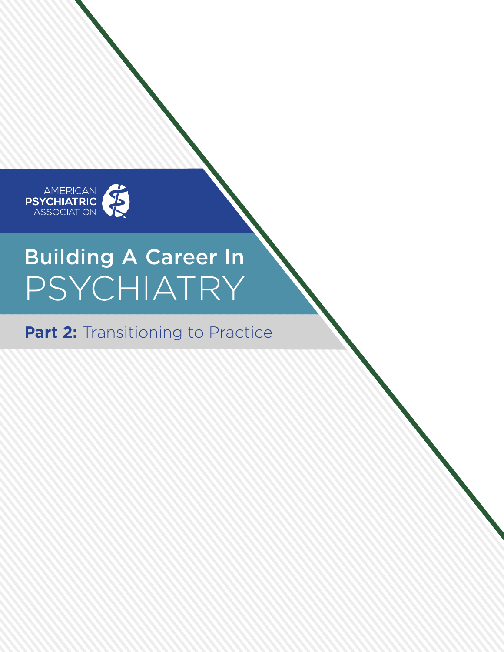

# Building A Career In PSYCHIATRY

## **Part 2: Transitioning to Practice**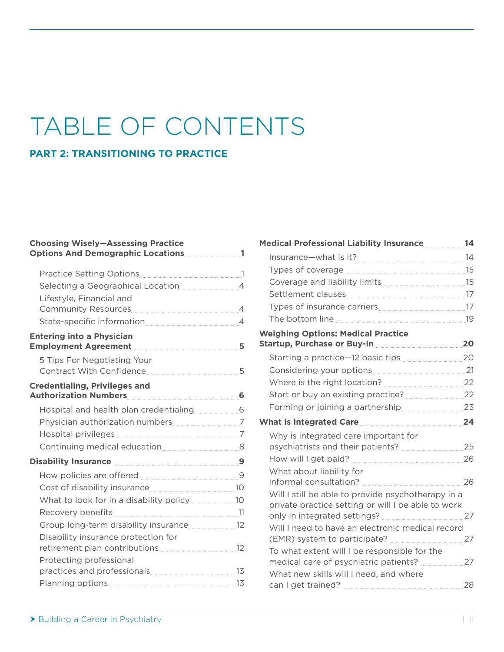## TABLE OF CONTENTS

#### **PART 2: TRANSITIONING TO PRACTICE**

### **Choosing Wisely—Assessing Practice Options And Demographic Locations 1** Practice Setting Options 1 Selecting a Geographical Location 4 Lifestyle, Financial and Community Resources 4 State-specific information 44 **Entering into a Physician Employment Agreement 5** 5 Tips For Negotiating Your Contract With Confidence 55 **Credentialing, Privileges and Authorization Numbers 6** Hospital and health plan credentialing 6 Physician authorization numbers 7 Hospital privileges 7 Continuing medical education 8 **Disability Insurance 9** How policies are offered 9 Cost of disability insurance 10 What to look for in a disability policy 2010-10 Recovery benefits 11 Group long-term disability insurance 12 Disability insurance protection for retirement plan contributions 12 Protecting professional practices and professionals 13 Planning options 13

| Medical Professional Liability Insurance 14                                                              |  |
|----------------------------------------------------------------------------------------------------------|--|
|                                                                                                          |  |
|                                                                                                          |  |
| Coverage and liability limits [15] [15] Coverage and liability limits                                    |  |
|                                                                                                          |  |
|                                                                                                          |  |
|                                                                                                          |  |
| <b>Weighing Options: Medical Practice</b><br>Startup, Purchase or Buy-In 20                              |  |
| Starting a practice-12 basic tips 20                                                                     |  |
| Considering your options 21                                                                              |  |
| Where is the right location? 22                                                                          |  |
| Start or buy an existing practice? 22                                                                    |  |
|                                                                                                          |  |
| What is Integrated Care 24                                                                               |  |
| Why is integrated care important for                                                                     |  |
|                                                                                                          |  |
| What about liability for                                                                                 |  |
| Will I still be able to provide psychotherapy in a<br>private practice setting or will I be able to work |  |
| Will I need to have an electronic medical record                                                         |  |
| To what extent will I be responsible for the                                                             |  |
| What new skills will I need, and where                                                                   |  |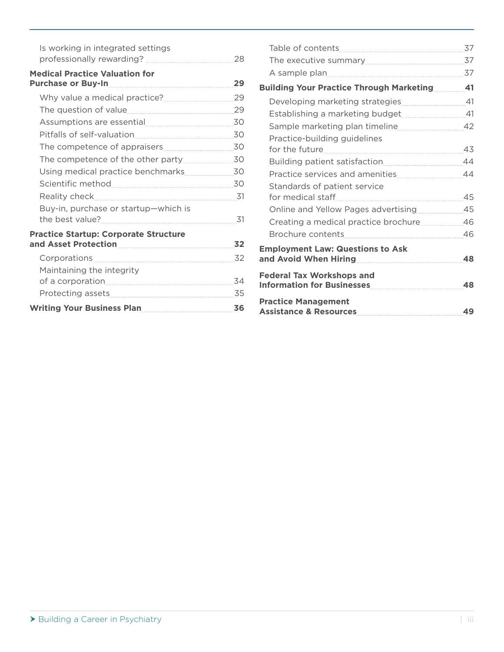| Is working in integrated settings<br>professionally rewarding? <b>manually</b> contain the professionally | 28  |
|-----------------------------------------------------------------------------------------------------------|-----|
| <b>Medical Practice Valuation for</b>                                                                     | 29  |
| Why value a medical practice?                                                                             | 29  |
|                                                                                                           |     |
|                                                                                                           |     |
|                                                                                                           | 30  |
|                                                                                                           |     |
|                                                                                                           |     |
|                                                                                                           |     |
|                                                                                                           | 30  |
|                                                                                                           | -31 |
| Buy-in, purchase or startup-which is                                                                      | 31  |
| <b>Practice Startup: Corporate Structure</b><br>and Asset Protection                                      | 32  |
|                                                                                                           | 32  |
| Maintaining the integrity                                                                                 |     |
|                                                                                                           | 34  |
|                                                                                                           | 35  |
| Writing Your Business Plan                                                                                | 36  |

|                                                                                                                | 37 |
|----------------------------------------------------------------------------------------------------------------|----|
| The executive summary 37                                                                                       |    |
| A sample plan 37                                                                                               |    |
| <b>Building Your Practice Through Marketing 41</b>                                                             |    |
|                                                                                                                |    |
|                                                                                                                |    |
| Sample marketing plan timeline 42                                                                              |    |
| Practice-building guidelines                                                                                   |    |
|                                                                                                                | 43 |
|                                                                                                                | 44 |
|                                                                                                                | 44 |
| Standards of patient service                                                                                   |    |
|                                                                                                                | 45 |
| Online and Yellow Pages advertising 25                                                                         |    |
| Creating a medical practice brochure 46                                                                        |    |
| Brochure contents [1994] [1994] [1995] [1995] [1996] [1995] [1996] [1996] [1996] [1996] [1996] [1996] [1996] [ | 46 |
| <b>Employment Law: Questions to Ask</b>                                                                        |    |
| and Avoid When Hiring <b>Act 2018 1949</b>                                                                     | 48 |
| <b>Federal Tax Workshops and</b><br>Information for Businesses                                                 | 48 |
| <b>Practice Management</b><br>Assistance & Resources                                                           | 49 |